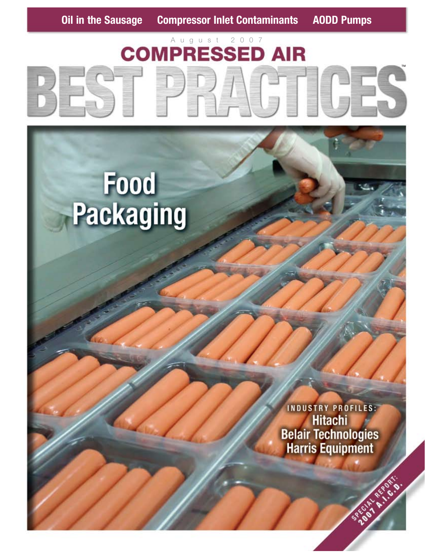# August 2007 **COMPRESSED AIR**

Food<br>Packaging

INDUSTRY PROFILES: **Hitachi Belair Technologies**<br>**Harris Equipment**  TM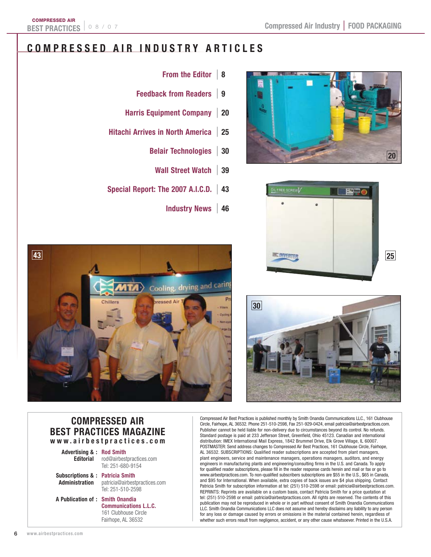# **COMPRESSED AIR I N DUSTRY ARTICLES**





- **From the Editor** | **<sup>8</sup>**
- **Feedback from Readers** | **<sup>9</sup>**
- **Harris Equipment Company** | **<sup>20</sup>**
- **Hitachi Arrives in North America** | **<sup>25</sup>**
	- **Belair Technologies** | **<sup>30</sup>**
		- **Wall Street Watch** | **<sup>39</sup>**
- **Special Report: The 2007 A.I.C.D.** | **<sup>43</sup>**
	- **Industry News** | **<sup>46</sup>**





#### **COMPRESSED AIR BEST PRACTICES MAGAZINE www.airbestpractices.com**

- **Advertising & : Rod Smith**
	- **Editorial** rod@airbestpractices.com Tel: 251-680-9154
- **Subscriptions & : Patricia Smith Administration** patricia@airbestpractices.com Tel: 251-510-2598
- **A Publication of : Smith Onandia Communications L.L.C.** 161 Clubhouse Circle Fairhope, AL 36532

Compressed Air Best Practices is published monthly by Smith Onandia Communications LLC., 161 Clubhouse Circle, Fairhope, AL 36532. Phone 251-510-2598, Fax 251-929-0424, email patricia@airbestpractices.com. Publisher cannot be held liable for non-delivery due to circumstances beyond its control. No refunds. Standard postage is paid at 233 Jefferson Street, Greenfield, Ohio 45123. Canadian and international distribution: IMEX International Mail Express, 1842 Brummel Drive, Elk Grove Village, IL 60007. POSTMASTER: Send address changes to Compressed Air Best Practices, 161 Clubhouse Circle, Fairhope, AL 36532. SUBSCRIPTIONS: Qualified reader subscriptions are accepted from plant managers, plant engineers, service and maintenance managers, operations managers, auditors, and energy engineers in manufacturing plants and engineering/consulting firms in the U.S. and Canada. To apply for qualified reader subscriptions, please fill in the reader response cards herein and mail or fax or go to www.airbestpractices.com. To non-qualified subscribers subscriptions are \$55 in the U.S., \$65 in Canada, and \$95 for International. When available, extra copies of back issues are \$4 plus shipping. Contact Patricia Smith for subscription information at tel: (251) 510-2598 or email: patricia@airbestpractices.com. REPRINTS: Reprints are available on a custom basis, contact Patricia Smith for a price quotation at tel: (251) 510-2598 or email: patricia@airbestpractices.com. All rights are reserved. The contents of this publication may not be reproduced in whole or in part without consent of Smith Onandia Communications LLC. Smith Onandia Communications LLC does not assume and hereby disclaims any liability to any person for any loss or damage caused by errors or omissions in the material contained herein, regardless of whether such errors result from negligence, accident, or any other cause whatsoever. Printed in the U.S.A.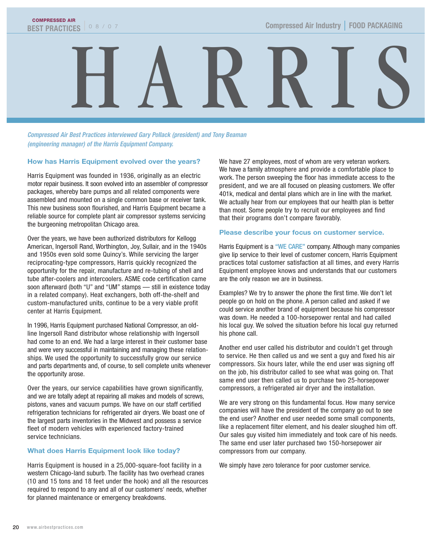

**Compressed Air Best Practices interviewed Gary Pollack (president) and Tony Beaman (engineering manager) of the Harris Equipment Company.**

#### **How has Harris Equipment evolved over the years?**

Harris Equipment was founded in 1936, originally as an electric motor repair business. It soon evolved into an assembler of compressor packages, whereby bare pumps and all related components were assembled and mounted on a single common base or receiver tank. This new business soon flourished, and Harris Equipment became a reliable source for complete plant air compressor systems servicing the burgeoning metropolitan Chicago area.

Over the years, we have been authorized distributors for Kellogg American, Ingersoll Rand, Worthington, Joy, Sullair, and in the 1940s and 1950s even sold some Quincy's. While servicing the larger reciprocating-type compressors, Harris quickly recognized the opportunity for the repair, manufacture and re-tubing of shell and tube after-coolers and intercoolers. ASME code certification came soon afterward (both "U" and "UM" stamps — still in existence today in a related company). Heat exchangers, both off-the-shelf and custom-manufactured units, continue to be a very viable profit center at Harris Equipment.

In 1996, Harris Equipment purchased National Compressor, an oldline Ingersoll Rand distributor whose relationship with Ingersoll had come to an end. We had a large interest in their customer base and were very successful in maintaining and managing these relationships. We used the opportunity to successfully grow our service and parts departments and, of course, to sell complete units whenever the opportunity arose.

Over the years, our service capabilities have grown significantly, and we are totally adept at repairing all makes and models of screws, pistons, vanes and vacuum pumps. We have on our staff certified refrigeration technicians for refrigerated air dryers. We boast one of the largest parts inventories in the Midwest and possess a service fleet of modern vehicles with experienced factory-trained service technicians.

#### **What does Harris Equipment look like today?**

Harris Equipment is housed in a 25,000-square-foot facility in a western Chicago-land suburb. The facility has two overhead cranes (10 and 15 tons and 18 feet under the hook) and all the resources required to respond to any and all of our customers' needs, whether for planned maintenance or emergency breakdowns.

We have 27 employees, most of whom are very veteran workers. We have a family atmosphere and provide a comfortable place to work. The person sweeping the floor has immediate access to the president, and we are all focused on pleasing customers. We offer 401k, medical and dental plans which are in line with the market. We actually hear from our employees that our health plan is better than most. Some people try to recruit our employees and find that their programs don't compare favorably.

#### **Please describe your focus on customer service.**

Harris Equipment is a "WE CARE" company. Although many companies give lip service to their level of customer concern, Harris Equipment practices total customer satisfaction at all times, and every Harris Equipment employee knows and understands that our customers are the only reason we are in business.

Examples? We try to answer the phone the first time. We don't let people go on hold on the phone. A person called and asked if we could service another brand of equipment because his compressor was down. He needed a 100-horsepower rental and had called his local guy. We solved the situation before his local guy returned his phone call.

Another end user called his distributor and couldn't get through to service. He then called us and we sent a guy and fixed his air compressors. Six hours later, while the end user was signing off on the job, his distributor called to see what was going on. That same end user then called us to purchase two 25-horsepower compressors, a refrigerated air dryer and the installation.

We are very strong on this fundamental focus. How many service companies will have the president of the company go out to see the end user? Another end user needed some small components, like a replacement filter element, and his dealer sloughed him off. Our sales guy visited him immediately and took care of his needs. The same end user later purchased two 150-horsepower air compressors from our company.

We simply have zero tolerance for poor customer service.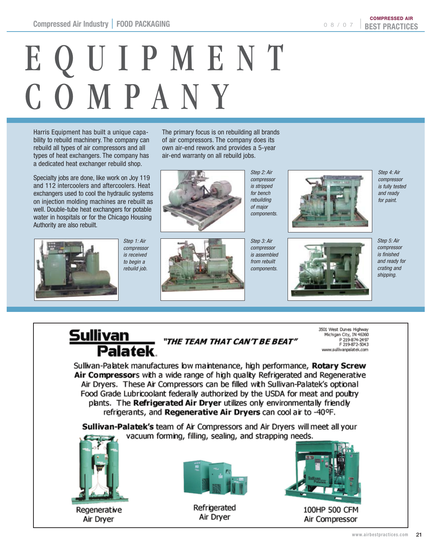08/07 | **BEST PRACTICES** COMPRESSED AIR

# EQUIPMENT<br>COMPANY

Harris Equipment has built a unique capability to rebuild machinery. The company can rebuild all types of air compressors and all types of heat exchangers. The company has a dedicated heat exchanger rebuild shop.

Specialty jobs are done, like work on Joy 119 and 112 intercoolers and aftercoolers. Heat exchangers used to cool the hydraulic systems on injection molding machines are rebuilt as well. Double-tube heat exchangers for potable water in hospitals or for the Chicago Housing Authority are also rebuilt.



Step 1: Air compressor is received to begin a rebuild job.

The primary focus is on rebuilding all brands of air compressors. The company does its own air-end rework and provides a 5-year air-end warranty on all rebuild jobs.





Step 3: Air compressor is assembled from rebuilt components.

Step 2: Air compressor is stripped for bench rebuilding of major components.



Step 4: Air compressor is fully tested and ready for paint.



Step 5: Air compressor is finished and ready for crating and shipping.

# **Sullivan** THE TEAM THAT CAN'T BE BEAT"<br>Palatek.

3501 West Dunes Highway Michigan City, IN 46360 P 219-874-2497 F 219-872-5043 www.sullivanpalatek.com

Sullivan-Palatek manufactures low maintenance, high performance, Rotary Screw Air Compressors with a wide range of high quality Refrigerated and Regenerative Air Dryers. These Air Compressors can be filled with Sullivan-Palatek's optional Food Grade Lubricoolant federally authorized by the USDA for meat and poultry plants. The Refrigerated Air Dryer utilizes only environmentally friendly refrigerants, and Regenerative Air Dryers can cool air to -40°F.

Sullivan-Palatek's team of Air Compressors and Air Dryers will meet all your vacuum forming, filling, sealing, and strapping needs.



Regenerative Air Dryer



Refrigerated Air Dryer



100HP 500 CFM Air Compressor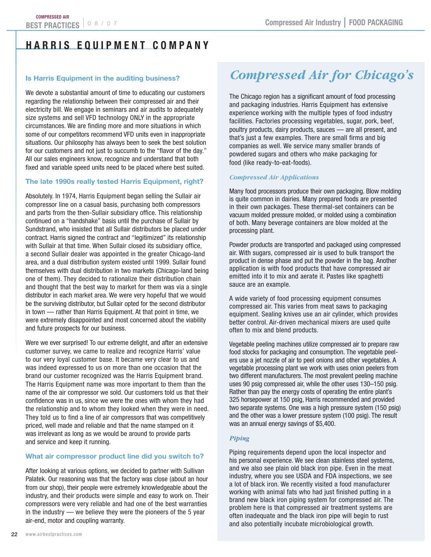## **H ARRIS EQ UIPME N T C OMPA N Y**

#### **Is Harris Equipment in the auditing business?**

We devote a substantial amount of time to educating our customers regarding the relationship between their compressed air and their electricity bill. We engage in seminars and air audits to adequately size systems and sell VFD technology ONLY in the appropriate circumstances. We are finding more and more situations in which some of our competitors recommend VFD units even in inappropriate situations. Our philosophy has always been to seek the best solution for our customers and not just to succumb to the "flavor of the day." All our sales engineers know, recognize and understand that both fixed and variable speed units need to be placed where best suited.

#### **The late 1990s really tested Harris Equipment, right?**

Absolutely. In 1974, Harris Equipment began selling the Sullair air compressor line on a casual basis, purchasing both compressors and parts from the then-Sullair subsidiary office. This relationship continued on a "handshake" basis until the purchase of Sullair by Sundstrand, who insisted that all Sullair distributors be placed under contract. Harris signed the contract and "legitimized" its relationship with Sullair at that time. When Sullair closed its subsidiary office, a second Sullair dealer was appointed in the greater Chicago-land area, and a dual distribution system existed until 1999. Sullair found themselves with dual distribution in two markets (Chicago-land being one of them). They decided to rationalize their distribution chain and thought that the best way to market for them was via a single distributor in each market area. We were very hopeful that we would be the surviving distributor, but Sullair opted for the second distributor in town — rather than Harris Equipment. At that point in time, we were extremely disappointed and most concerned about the viability and future prospects for our business.

Were we ever surprised! To our extreme delight, and after an extensive customer survey, we came to realize and recognize Harris' value to our very loyal customer base. It became very clear to us and was indeed expressed to us on more than one occasion that the brand our customer recognized was the Harris Equipment brand. The Harris Equipment name was more important to them than the name of the air compressor we sold. Our customers told us that their confidence was in us, since we were the ones with whom they had the relationship and to whom they looked when they were in need. They told us to find a line of air compressors that was competitively priced, well made and reliable and that the name stamped on it was irrelevant as long as we would be around to provide parts and service and keep it running.

#### **What air compressor product line did you switch to?**

After looking at various options, we decided to partner with Sullivan Palatek. Our reasoning was that the factory was close (about an hour from our shop), their people were extremely knowledgeable about the industry, and their products were simple and easy to work on. Their compressors were very reliable and had one of the best warranties in the industry — we believe they were the pioneers of the 5 year air-end, motor and coupling warranty.

# **Compressed Air for Chicago's**

The Chicago region has a significant amount of food processing and packaging industries. Harris Equipment has extensive experience working with the multiple types of food industry facilities. Factories processing vegetables, sugar, pork, beef, poultry products, dairy products, sauces — are all present, and that's just a few examples. There are small firms and big companies as well. We service many smaller brands of powdered sugars and others who make packaging for food (like ready-to-eat-foods).

#### *Compressed Air Applications*

Many food processors produce their own packaging. Blow molding is quite common in dairies. Many prepared foods are presented in their own packages. These thermal-set containers can be vacuum molded pressure molded, or molded using a combination of both. Many beverage containers are blow molded at the processing plant.

Powder products are transported and packaged using compressed air. With sugars, compressed air is used to bulk transport the product in dense phase and put the powder in the bag. Another application is with food products that have compressed air emitted into it to mix and aerate it. Pastes like spaghetti sauce are an example.

A wide variety of food processing equipment consumes compressed air. This varies from meat saws to packaging equipment. Sealing knives use an air cylinder, which provides better control. Air-driven mechanical mixers are used quite often to mix and blend products.

Vegetable peeling machines utilize compressed air to prepare raw food stocks for packaging and consumption. The vegetable peelers use a jet nozzle of air to peel onions and other vegetables. A vegetable processing plant we work with uses onion peelers from two different manufacturers. The most prevalent peeling machine uses 90 psig compressed air, while the other uses 130–150 psig. Rather than pay the energy costs of operating the entire plant's 325 horsepower at 150 psig, Harris recommended and provided two separate systems. One was a high pressure system (150 psig) and the other was a lower pressure system (100 psig). The result was an annual energy savings of \$5,400.

#### *Piping*

Piping requirements depend upon the local inspector and his personal experience. We see clean stainless steel systems, and we also see plain old black iron pipe. Even in the meat industry, where you see USDA and FDA inspections, we see a lot of black iron. We recently visited a food manufacturer working with animal fats who had just finished putting in a brand new black iron piping system for compressed air. The problem here is that compressed air treatment systems are often inadequate and the black iron pipe will begin to rust and also potentially incubate microbiological growth.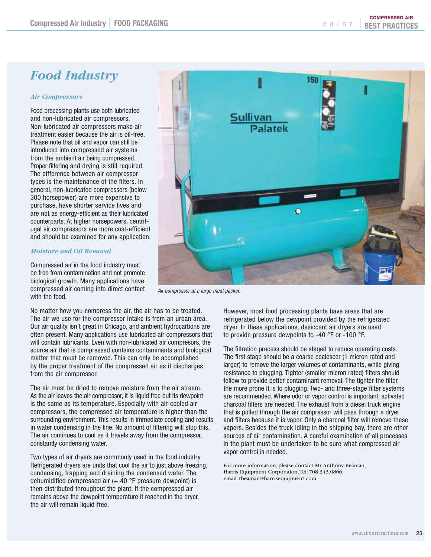*Compressed Air for Chicago's Food Industry*

#### *Air Compressors*

Food processing plants use both lubricated and non-lubricated air compressors. Non-lubricated air compressors make air treatment easier because the air is oil-free. Please note that oil and vapor can still be introduced into compressed air systems from the ambient air being compressed. Proper filtering and drying is still required. The difference between air compressor types is the maintenance of the filters. In general, non-lubricated compressors (below 300 horsepower) are more expensive to purchase, have shorter service lives and are not as energy-efficient as their lubricated counterparts. At higher horsepowers, centrifugal air compressors are more cost-efficient and should be examined for any application.

#### *Moisture and Oil Removal*

Compressed air in the food industry must be free from contamination and not promote biological growth. Many applications have compressed air coming into direct contact with the food.

No matter how you compress the air, the air has to be treated. The air we use for the compressor intake is from an urban area. Our air quality isn't great in Chicago, and ambient hydrocarbons are often present. Many applications use lubricated air compressors that will contain lubricants. Even with non-lubricated air compresors, the source air that is compressed contains contaminants and biological matter that must be removed. This can only be accomplished by the proper treatment of the compressed air as it discharges from the air compressor.

The air must be dried to remove moisture from the air stream. As the air leaves the air compressor, it is liquid free but its dewpoint is the same as its temperature. Especially with air-cooled air compressors, the compressed air temperature is higher than the surrounding environment. This results in immediate cooling and results in water condensing in the line. No amount of filtering will stop this. The air continues to cool as it travels away from the compressor, constantly condensing water.

Two types of air dryers are commonly used in the food industry. Refrigerated dryers are units that cool the air to just above freezing, condensing, trapping and draining the condensed water. The dehumidified compressed air  $(+ 40$  °F pressure dewpoint) is then distributed throughout the plant. If the compressed air remains above the dewpoint temperature it reached in the dryer, the air will remain liquid-free.

Air compressor at a large meat packer.

However, most food processing plants have areas that are refrigerated below the dewpoint provided by the refrigerated dryer. In these applications, desiccant air dryers are used to provide pressure dewpoints to -40 °F or -100 °F.

The filtration process should be staged to reduce operating costs. The first stage should be a coarse coalescer (1 micron rated and larger) to remove the larger volumes of contaminants, while giving resistance to plugging. Tighter (smaller micron rated) filters should follow to provide better contaminant removal. The tighter the filter, the more prone it is to plugging. Two- and three-stage filter systems are recommended. Where odor or vapor control is important, activated charcoal filters are needed. The exhaust from a diesel truck engine that is pulled through the air compressor will pass through a dryer and filters because it is vapor. Only a charcoal filter will remove these vapors. Besides the truck idling in the shipping bay, there are other sources of air contamination. A careful examination of all processes in the plant must be undertaken to be sure what compressed air vapor control is needed.

For more information, please contact Mr. Anthony Beaman, Harris Equipment Corporation, Tel: 708.343.0866, email: tbeaman@harrisequipment.com.



COMPRESSED AIR